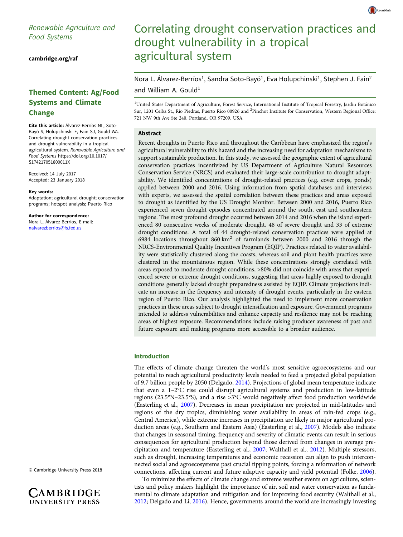## *Renewable Agriculture and Food Systems*

# Themed Content: Ag/Food and William A. Gould<sup>1</sup> Systems and Climate Change

Cite this article: Álvarez-Berríos NL, Soto-Bayó S, Holupchinski E, Fain SJ, Gould WA. Correlating drought conservation practices and drought vulnerability in a tropical agricultural system. *Renewable Agriculture and Food Systems* https://doi.org/10.1017/ S174217051800011X

Received: 14 July 2017 Accepted: 23 January 2018

#### Key words:

Adaptation; agricultural drought; conservation programs; hotspot analysis; Puerto Rico

Author for correspondence: Nora L. Álvarez-Berríos, E-mail: nalvarezberrios@fs.fed.us

© Cambridge University Press 2018



# Correlating drought conservation practices and drought vulnerability in a tropical cambridge.org/raf agricultural system

Nora L. Álvarez-Berríos<sup>1</sup>, Sandra Soto-Bayó<sup>1</sup>, Eva Holupchinski<sup>1</sup>, Stephen J. Fain<sup>2</sup>

 $1$ United States Department of Agriculture, Forest Service, International Institute of Tropical Forestry, Jardín Botánico Sur, 1201 Ceiba St., Río Piedras, Puerto Rico 00926 and <sup>2</sup>Pinchot Institute for Conservation, Western Regional Office: 721 NW 9th Ave Ste 240, Portland, OR 97209, USA

#### Abstract

Recent droughts in Puerto Rico and throughout the Caribbean have emphasized the region's agricultural vulnerability to this hazard and the increasing need for adaptation mechanisms to support sustainable production. In this study, we assessed the geographic extent of agricultural conservation practices incentivized by US Department of Agriculture Natural Resources Conservation Service (NRCS) and evaluated their large-scale contribution to drought adaptability. We identified concentrations of drought-related practices (e.g. cover crops, ponds) applied between 2000 and 2016. Using information from spatial databases and interviews with experts, we assessed the spatial correlation between these practices and areas exposed to drought as identified by the US Drought Monitor. Between 2000 and 2016, Puerto Rico experienced seven drought episodes concentrated around the south, east and southeastern regions. The most profound drought occurred between 2014 and 2016 when the island experienced 80 consecutive weeks of moderate drought, 48 of severe drought and 33 of extreme drought conditions. A total of 44 drought-related conservation practices were applied at 6984 locations throughout 860 km<sup>2</sup> of farmlands between 2000 and 2016 through the NRCS-Environmental Quality Incentives Program (EQIP). Practices related to water availability were statistically clustered along the coasts, whereas soil and plant health practices were clustered in the mountainous region. While these concentrations strongly correlated with areas exposed to moderate drought conditions, >80% did not coincide with areas that experienced severe or extreme drought conditions, suggesting that areas highly exposed to drought conditions generally lacked drought preparedness assisted by EQIP. Climate projections indicate an increase in the frequency and intensity of drought events, particularly in the eastern region of Puerto Rico. Our analysis highlighted the need to implement more conservation practices in these areas subject to drought intensification and exposure. Government programs intended to address vulnerabilities and enhance capacity and resilience may not be reaching areas of highest exposure. Recommendations include raising producer awareness of past and future exposure and making programs more accessible to a broader audience.

#### Introduction

The effects of climate change threaten the world's most sensitive agroecosystems and our potential to reach agricultural productivity levels needed to feed a projected global population of 9.7 billion people by 2050 (Delgado, [2014](#page-11-0)). Projections of global mean temperature indicate that even a 1–2°C rise could disrupt agricultural systems and production in low-latitude regions (23.5°N–23.5°S), and a rise >3°C would negatively affect food production worldwide (Easterling et al., [2007\)](#page-11-0). Decreases in mean precipitation are projected in mid-latitudes and regions of the dry tropics, diminishing water availability in areas of rain-fed crops (e.g., Central America), while extreme increases in precipitation are likely in major agricultural production areas (e.g., Southern and Eastern Asia) (Easterling et al., [2007\)](#page-11-0). Models also indicate that changes in seasonal timing, frequency and severity of climatic events can result in serious consequences for agricultural production beyond those derived from changes in average precipitation and temperature (Easterling et al., [2007](#page-11-0); Walthall et al., [2012\)](#page-12-0). Multiple stressors, such as drought, increasing temperatures and economic recession can align to push interconnected social and agroecosystems past crucial tipping points, forcing a reformation of network connections, affecting current and future adaptive capacity and yield potential (Folke, [2006](#page-11-0)).

To minimize the effects of climate change and extreme weather events on agriculture, scientists and policy makers highlight the importance of air, soil and water conservation as fundamental to climate adaptation and mitigation and for improving food security (Walthall et al., [2012;](#page-12-0) Delgado and Li, [2016\)](#page-11-0). Hence, governments around the world are increasingly investing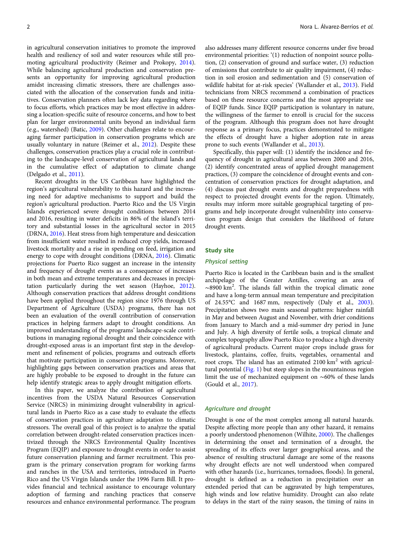in agricultural conservation initiatives to promote the improved health and resiliency of soil and water resources while still promoting agricultural productivity (Reimer and Prokopy, [2014\)](#page-12-0). While balancing agricultural production and conservation presents an opportunity for improving agricultural production amidst increasing climatic stressors, there are challenges associated with the allocation of the conservation funds and initiatives. Conservation planners often lack key data regarding where to focus efforts, which practices may be most effective in addressing a location-specific suite of resource concerns, and how to best plan for larger environmental units beyond an individual farm (e.g., watershed) (Batic, [2009](#page-11-0)). Other challenges relate to encouraging farmer participation in conservation programs which are usually voluntary in nature (Reimer et al., [2012\)](#page-12-0). Despite these challenges, conservation practices play a crucial role in contributing to the landscape-level conservation of agricultural lands and in the cumulative effect of adaptation to climate change (Delgado et al., [2011\)](#page-11-0).

Recent droughts in the US Caribbean have highlighted the region's agricultural vulnerability to this hazard and the increasing need for adaptive mechanisms to support and build the region's agricultural production. Puerto Rico and the US Virgin Islands experienced severe drought conditions between 2014 and 2016, resulting in water deficits in 86% of the island's territory and substantial losses in the agricultural sector in 2015 (DRNA, [2016\)](#page-11-0). Heat stress from high temperature and desiccation from insufficient water resulted in reduced crop yields, increased livestock mortality and a rise in spending on feed, irrigation and energy to cope with drought conditions (DRNA, [2016\)](#page-11-0). Climatic projections for Puerto Rico suggest an increase in the intensity and frequency of drought events as a consequence of increases in both mean and extreme temperatures and decreases in precipitation particularly during the wet season (Hayhoe, [2012\)](#page-11-0). Although conservation practices that address drought conditions have been applied throughout the region since 1976 through US Department of Agriculture (USDA) programs, there has not been an evaluation of the overall contribution of conservation practices in helping farmers adapt to drought conditions. An improved understanding of the programs' landscape-scale contributions in managing regional drought and their coincidence with drought-exposed areas is an important first step in the development and refinement of policies, programs and outreach efforts that motivate participation in conservation programs. Moreover, highlighting gaps between conservation practices and areas that are highly probable to be exposed to drought in the future can help identify strategic areas to apply drought mitigation efforts.

In this paper, we analyze the contribution of agricultural incentives from the USDA Natural Resources Conservation Service (NRCS) in minimizing drought vulnerability in agricultural lands in Puerto Rico as a case study to evaluate the effects of conservation practices in agriculture adaptation to climatic stressors. The overall goal of this project is to analyze the spatial correlation between drought-related conservation practices incentivized through the NRCS Environmental Quality Incentives Program (EQIP) and exposure to drought events in order to assist future conservation planning and farmer recruitment. This program is the primary conservation program for working farms and ranches in the USA and territories, introduced in Puerto Rico and the US Virgin Islands under the 1996 Farm Bill. It provides financial and technical assistance to encourage voluntary adoption of farming and ranching practices that conserve resources and enhance environmental performance. The program

also addresses many different resource concerns under five broad environmental priorities: '(1) reduction of nonpoint source pollution, (2) conservation of ground and surface water, (3) reduction of emissions that contribute to air quality impairment, (4) reduction in soil erosion and sedimentation and (5) conservation of wildlife habitat for at-risk species' (Wallander et al., [2013](#page-12-0)). Field technicians from NRCS recommend a combination of practices based on these resource concerns and the most appropriate use of EQIP funds. Since EQIP participation is voluntary in nature, the willingness of the farmer to enroll is crucial for the success of the program. Although this program does not have drought response as a primary focus, practices demonstrated to mitigate the effects of drought have a higher adoption rate in areas prone to such events (Wallander et al., [2013\)](#page-12-0).

Specifically, this paper will: (1) identify the incidence and frequency of drought in agricultural areas between 2000 and 2016, (2) identify concentrated areas of applied drought management practices, (3) compare the coincidence of drought events and concentration of conservation practices for drought adaptation, and (4) discuss past drought events and drought preparedness with respect to projected drought events for the region. Ultimately, results may inform more suitable geographical targeting of programs and help incorporate drought vulnerability into conservation program design that considers the likelihood of future drought events.

#### Study site

#### Physical setting

Puerto Rico is located in the Caribbean basin and is the smallest archipelago of the Greater Antilles, covering an area of ∼8900 km<sup>2</sup> . The islands fall within the tropical climatic zone and have a long-term annual mean temperature and precipitation of 24.55°C and 1687 mm, respectively (Daly et al., [2003](#page-11-0)). Precipitation shows two main seasonal patterns: higher rainfall in May and between August and November, with drier conditions from January to March and a mid-summer dry period in June and July. A high diversity of fertile soils, a tropical climate and complex topography allow Puerto Rico to produce a high diversity of agricultural products. Current major crops include grass for livestock, plantains, coffee, fruits, vegetables, ornamental and root crops. The island has an estimated  $2100 \text{ km}^2$  with agricultural potential ([Fig.](#page-2-0) 1) but steep slopes in the mountainous region limit the use of mechanized equipment on ∼60% of these lands (Gould et al., [2017\)](#page-11-0).

#### Agriculture and drought

Drought is one of the most complex among all natural hazards. Despite affecting more people than any other hazard, it remains a poorly understood phenomenon (Wilhite, [2000](#page-12-0)). The challenges in determining the onset and termination of a drought, the spreading of its effects over larger geographical areas, and the absence of resulting structural damage are some of the reasons why drought effects are not well understood when compared with other hazards (i.e., hurricanes, tornadoes, floods). In general, drought is defined as a reduction in precipitation over an extended period that can be aggravated by high temperatures, high winds and low relative humidity. Drought can also relate to delays in the start of the rainy season, the timing of rains in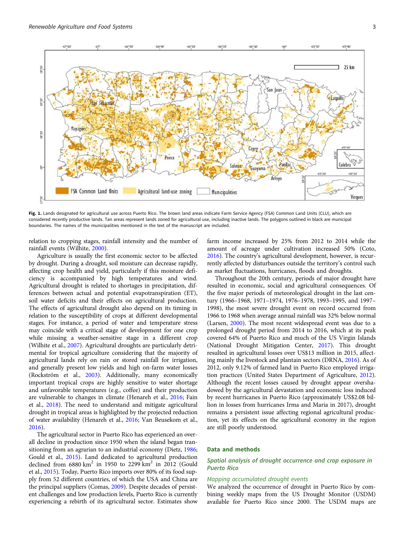<span id="page-2-0"></span>

Fig. 1. Lands designated for agricultural use across Puerto Rico. The brown land areas indicate Farm Service Agency (FSA) Common Land Units (CLU), which are considered recently productive lands. Tan areas represent lands zoned for agricultural use, including inactive lands. The polygons outlined in black are municipal boundaries. The names of the municipalities mentioned in the text of the manuscript are included.

relation to cropping stages, rainfall intensity and the number of rainfall events (Wilhite, [2000](#page-12-0)).

Agriculture is usually the first economic sector to be affected by drought. During a drought, soil moisture can decrease rapidly, affecting crop health and yield, particularly if this moisture deficiency is accompanied by high temperatures and wind. Agricultural drought is related to shortages in precipitation, differences between actual and potential evapotranspiration (ET), soil water deficits and their effects on agricultural production. The effects of agricultural drought also depend on its timing in relation to the susceptibility of crops at different developmental stages. For instance, a period of water and temperature stress may coincide with a critical stage of development for one crop while missing a weather-sensitive stage in a different crop (Wilhite et al., [2007\)](#page-12-0). Agricultural droughts are particularly detrimental for tropical agriculture considering that the majority of agricultural lands rely on rain or stored rainfall for irrigation, and generally present low yields and high on-farm water losses (Rockström et al., [2003](#page-12-0)). Additionally, many economically important tropical crops are highly sensitive to water shortage and unfavorable temperatures (e.g., coffee) and their production are vulnerable to changes in climate (Henareh et al., [2016;](#page-11-0) Fain et al., [2018](#page-11-0)). The need to understand and mitigate agricultural drought in tropical areas is highlighted by the projected reduction of water availability (Henareh et al., [2016;](#page-11-0) Van Beusekom et al., [2016\)](#page-12-0).

The agricultural sector in Puerto Rico has experienced an overall decline in production since 1950 when the island began transitioning from an agrarian to an industrial economy (Dietz, [1986;](#page-11-0) Gould et al., [2015\)](#page-11-0). Land dedicated to agricultural production declined from  $6880 \text{ km}^2$  in 1950 to 2299 km<sup>2</sup> in 2012 (Gould et al., [2015\)](#page-11-0). Today, Puerto Rico imports over 80% of its food supply from 52 different countries, of which the USA and China are the principal suppliers (Comas, [2009\)](#page-11-0). Despite decades of persistent challenges and low production levels, Puerto Rico is currently experiencing a rebirth of its agricultural sector. Estimates show

farm income increased by 25% from 2012 to 2014 while the amount of acreage under cultivation increased 50% (Coto, [2016](#page-11-0)). The country's agricultural development, however, is recurrently affected by disturbances outside the territory's control such as market fluctuations, hurricanes, floods and droughts.

Throughout the 20th century, periods of major drought have resulted in economic, social and agricultural consequences. Of the five major periods of meteorological drought in the last century (1966–1968, 1971–1974, 1976–1978, 1993–1995, and 1997– 1998), the most severe drought event on record occurred from 1966 to 1968 when average annual rainfall was 32% below normal (Larsen, [2000\)](#page-11-0). The most recent widespread event was due to a prolonged drought period from 2014 to 2016, which at its peak covered 64% of Puerto Rico and much of the US Virgin Islands (National Drought Mitigation Center, [2017\)](#page-12-0). This drought resulted in agricultural losses over US\$13 million in 2015, affecting mainly the livestock and plantain sectors (DRNA, [2016](#page-11-0)). As of 2012, only 9.12% of farmed land in Puerto Rico employed irrigation practices (United States Department of Agriculture, [2012](#page-12-0)). Although the recent losses caused by drought appear overshadowed by the agricultural devastation and economic loss induced by recent hurricanes in Puerto Rico (approximately US\$2.08 billion in losses from hurricanes Irma and Maria in 2017), drought remains a persistent issue affecting regional agricultural production, yet its effects on the agricultural economy in the region are still poorly understood.

#### Data and methods

## Spatial analysis of drought occurrence and crop exposure in Puerto Rico

#### *Mapping accumulated drought events*

We analyzed the occurrence of drought in Puerto Rico by combining weekly maps from the US Drought Monitor (USDM) available for Puerto Rico since 2000. The USDM maps are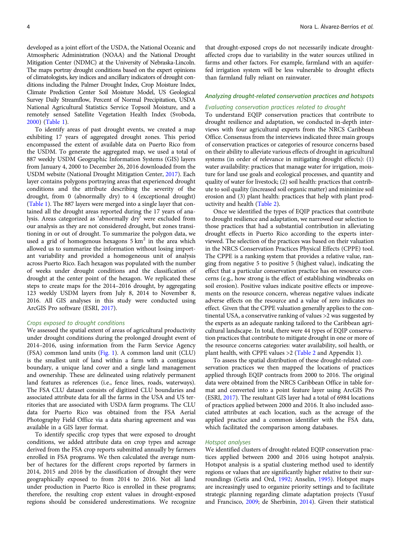developed as a joint effort of the USDA, the National Oceanic and Atmospheric Administration (NOAA) and the National Drought Mitigation Center (NDMC) at the University of Nebraska-Lincoln. The maps portray drought conditions based on the expert opinions of climatologists, key indices and ancillary indicators of drought conditions including the Palmer Drought Index, Crop Moisture Index, Climate Prediction Center Soil Moisture Model, US Geological Survey Daily Streamflow, Percent of Normal Precipitation, USDA National Agricultural Statistics Service Topsoil Moisture, and a remotely sensed Satellite Vegetation Health Index (Svoboda, [2000\)](#page-12-0) ([Table](#page-4-0) 1).

To identify areas of past drought events, we created a map exhibiting 17 years of aggregated drought zones. This period encompassed the extent of available data on Puerto Rico from the USDM. To generate the aggregated map, we used a total of 887 weekly USDM Geographic Information Systems (GIS) layers from January 4, 2000 to December 26, 2016 downloaded from the USDM website (National Drought Mitigation Center, [2017\)](#page-12-0). Each layer contains polygons portraying areas that experienced drought conditions and the attribute describing the severity of the drought, from 0 (abnormally dry) to 4 (exceptional drought) ([Table](#page-4-0) 1). The 887 layers were merged into a single layer that contained all the drought areas reported during the 17 years of analysis. Areas categorized as 'abnormally dry' were excluded from our analysis as they are not considered drought, but zones transitioning in or out of drought. To summarize the polygon data, we used a grid of homogenous hexagons  $5 \text{ km}^2$  in the area which allowed us to summarize the information without losing important variability and provided a homogeneous unit of analysis across Puerto Rico. Each hexagon was populated with the number of weeks under drought conditions and the classification of drought at the center point of the hexagon. We replicated these steps to create maps for the 2014–2016 drought, by aggregating 123 weekly USDM layers from July 8, 2014 to November 8, 2016. All GIS analyses in this study were conducted using ArcGIS Pro software (ESRI, [2017\)](#page-11-0).

#### *Crops exposed to drought conditions*

We assessed the spatial extent of areas of agricultural productivity under drought conditions during the prolonged drought event of 2014–2016, using information from the Farm Service Agency (FSA) common land units [\(Fig.](#page-2-0) 1). A common land unit (CLU) is the smallest unit of land within a farm with a contiguous boundary, a unique land cover and a single land management and ownership. These are delineated using relatively permanent land features as references (i.e., fence lines, roads, waterways). The FSA CLU dataset consists of digitized CLU boundaries and associated attribute data for all the farms in the USA and US territories that are associated with USDA farm programs. The CLU data for Puerto Rico was obtained from the FSA Aerial Photography Field Office via a data sharing agreement and was available in a GIS layer format.

To identify specific crop types that were exposed to drought conditions, we added attribute data on crop types and acreage derived from the FSA crop reports submitted annually by farmers enrolled in FSA programs. We then calculated the average number of hectares for the different crops reported by farmers in 2014, 2015 and 2016 by the classification of drought they were geographically exposed to from 2014 to 2016. Not all land under production in Puerto Rico is enrolled in these programs; therefore, the resulting crop extent values in drought-exposed regions should be considered underestimations. We recognize that drought-exposed crops do not necessarily indicate droughtaffected crops due to variability in the water sources utilized in farms and other factors. For example, farmland with an aquiferfed irrigation system will be less vulnerable to drought effects than farmland fully reliant on rainwater.

#### Analyzing drought-related conservation practices and hotspots

#### *Evaluating conservation practices related to drought*

To understand EQIP conservation practices that contribute to drought resilience and adaptation, we conducted in-depth interviews with four agricultural experts from the NRCS Caribbean Office. Consensus from the interviews indicated three main groups of conservation practices or categories of resource concerns based on their ability to alleviate various effects of drought in agricultural systems (in order of relevance in mitigating drought effects): (1) water availability: practices that manage water for irrigation, moisture for land use goals and ecological processes, and quantity and quality of water for livestock; (2) soil health: practices that contribute to soil quality (increased soil organic matter) and minimize soil erosion and (3) plant health: practices that help with plant productivity and health ([Table](#page-5-0) 2).

Once we identified the types of EQIP practices that contribute to drought resilience and adaptation, we narrowed our selection to those practices that had a substantial contribution in alleviating drought effects in Puerto Rico according to the experts interviewed. The selection of the practices was based on their valuation in the NRCS Conservation Practices Physical Effects (CPPE) tool. The CPPE is a ranking system that provides a relative value, ranging from negative 5 to positive 5 (highest value), indicating the effect that a particular conservation practice has on resource concerns (e.g., how strong is the effect of establishing windbreaks on soil erosion). Positive values indicate positive effects or improvements on the resource concern, whereas negative values indicate adverse effects on the resource and a value of zero indicates no effect. Given that the CPPE valuation generally applies to the continental USA, a conservative ranking of values >2 was suggested by the experts as an adequate ranking tailored to the Caribbean agricultural landscape. In total, there were 44 types of EQIP conservation practices that contribute to mitigate drought in one or more of the resource concerns categories: water availability, soil health, or plant health, with CPPE values >2 ([Table](#page-5-0) 2 and Appendix 1).

To assess the spatial distribution of these drought-related conservation practices we then mapped the locations of practices applied through EQIP contracts from 2000 to 2016. The original data were obtained from the NRCS Caribbean Office in table format and converted into a point feature layer using ArcGIS Pro (ESRI, [2017](#page-11-0)). The resultant GIS layer had a total of 6984 locations of practices applied between 2000 and 2016. It also included associated attributes at each location, such as the acreage of the applied practice and a common identifier with the FSA data, which facilitated the comparison among databases.

#### *Hotspot analyses*

We identified clusters of drought-related EQIP conservation practices applied between 2000 and 2016 using hotspot analysis. Hotspot analysis is a spatial clustering method used to identify regions or values that are significantly higher relative to their surroundings (Getis and Ord, [1992;](#page-11-0) Anselin, [1995\)](#page-11-0). Hotspot maps are increasingly used to organize priority settings and to facilitate strategic planning regarding climate adaptation projects (Yusuf and Francisco, [2009;](#page-12-0) de Sherbinin, [2014](#page-11-0)). Given their statistical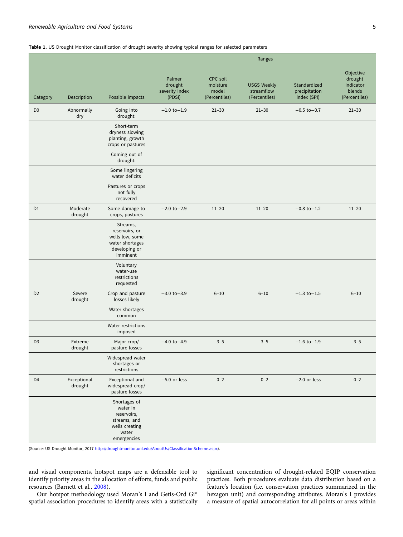#### <span id="page-4-0"></span>Table 1. US Drought Monitor classification of drought severity showing typical ranges for selected parameters

|                |                        |                                                                                                   | Ranges                                        |                                                |                                                   |                                              |                                                              |
|----------------|------------------------|---------------------------------------------------------------------------------------------------|-----------------------------------------------|------------------------------------------------|---------------------------------------------------|----------------------------------------------|--------------------------------------------------------------|
| Category       | Description            | Possible impacts                                                                                  | Palmer<br>drought<br>severity index<br>(PDSI) | CPC soil<br>moisture<br>model<br>(Percentiles) | <b>USGS Weekly</b><br>streamflow<br>(Percentiles) | Standardized<br>precipitation<br>index (SPI) | Objective<br>drought<br>indicator<br>blends<br>(Percentiles) |
| D <sub>0</sub> | Abnormally<br>dry      | Going into<br>drought:                                                                            | $-1.0$ to $-1.9$                              | $21 - 30$                                      | $21 - 30$                                         | $-0.5$ to $-0.7$                             | $21 - 30$                                                    |
|                |                        | Short-term<br>dryness slowing<br>planting, growth<br>crops or pastures                            |                                               |                                                |                                                   |                                              |                                                              |
|                |                        | Coming out of<br>drought:                                                                         |                                               |                                                |                                                   |                                              |                                                              |
|                |                        | Some lingering<br>water deficits                                                                  |                                               |                                                |                                                   |                                              |                                                              |
|                |                        | Pastures or crops<br>not fully<br>recovered                                                       |                                               |                                                |                                                   |                                              |                                                              |
| D1             | Moderate<br>drought    | Some damage to<br>crops, pastures                                                                 | $-2.0$ to $-2.9$                              | $11 - 20$                                      | $11 - 20$                                         | $-0.8$ to $-1.2$                             | $11 - 20$                                                    |
|                |                        | Streams,<br>reservoirs, or<br>wells low, some<br>water shortages<br>developing or<br>imminent     |                                               |                                                |                                                   |                                              |                                                              |
|                |                        | Voluntary<br>water-use<br>restrictions<br>requested                                               |                                               |                                                |                                                   |                                              |                                                              |
| D <sub>2</sub> | Severe<br>drought      | Crop and pasture<br>losses likely                                                                 | $-3.0$ to $-3.9$                              | $6 - 10$                                       | $6 - 10$                                          | $-1.3$ to $-1.5$                             | $6 - 10$                                                     |
|                |                        | Water shortages<br>common                                                                         |                                               |                                                |                                                   |                                              |                                                              |
|                |                        | Water restrictions<br>imposed                                                                     |                                               |                                                |                                                   |                                              |                                                              |
| D <sub>3</sub> | Extreme<br>drought     | Major crop/<br>pasture losses                                                                     | $-4.0$ to $-4.9$                              | $3 - 5$                                        | $3 - 5$                                           | $-1.6$ to $-1.9$                             | $3 - 5$                                                      |
|                |                        | Widespread water<br>shortages or<br>restrictions                                                  |                                               |                                                |                                                   |                                              |                                                              |
| D <sub>4</sub> | Exceptional<br>drought | Exceptional and<br>widespread crop/<br>pasture losses                                             | $-5.0$ or less                                | $0 - 2$                                        | $0 - 2$                                           | $-2.0$ or less                               | $0 - 2$                                                      |
|                |                        | Shortages of<br>water in<br>reservoirs,<br>streams, and<br>wells creating<br>water<br>emergencies |                                               |                                                |                                                   |                                              |                                                              |

(Source: US Drought Monitor, 2017 http://droughtmonitor.unl.edu/AboutUs/ClassificationScheme.aspx).

and visual components, hotspot maps are a defensible tool to significant concentration of drought-related EQIP conservation identify priority areas in the allocation of efforts, funds and public practices. Both procedures identify priority areas in the allocation of efforts, funds and public resources (Barnett et al., 2008).

spatial association procedures to identify areas with a statistically a measure of spatial autocorrelation for all points or areas within

resources (Barnett et al., [2008](#page-11-0)). feature's location (i.e. conservation practices summarized in the Our hotspot methodology used Moran's I and Getis-Ord Gi<sup>\*</sup> hexagon unit) and corresponding attributes. Moran's I provides hexagon unit) and corresponding attributes. Moran's I provides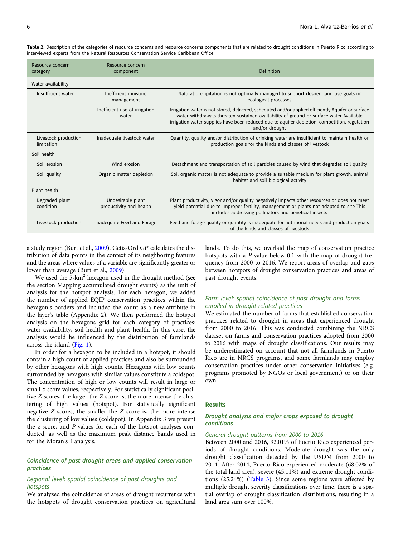<span id="page-5-0"></span>Table 2. Description of the categories of resource concerns and resource concerns components that are related to drought conditions in Puerto Rico according to interviewed experts from the Natural Resources Conservation Service Caribbean Office

| Resource concern<br>category       | Resource concern<br>component                | Definition                                                                                                                                                                                                                                                                                                      |
|------------------------------------|----------------------------------------------|-----------------------------------------------------------------------------------------------------------------------------------------------------------------------------------------------------------------------------------------------------------------------------------------------------------------|
| Water availability                 |                                              |                                                                                                                                                                                                                                                                                                                 |
| Insufficient water                 | Inefficient moisture<br>management           | Natural precipitation is not optimally managed to support desired land use goals or<br>ecological processes                                                                                                                                                                                                     |
|                                    | Inefficient use of irrigation<br>water       | Irrigation water is not stored, delivered, scheduled and/or applied efficiently Aquifer or surface<br>water withdrawals threaten sustained availability of ground or surface water Available<br>irrigation water supplies have been reduced due to aquifer depletion, competition, regulation<br>and/or drought |
| Livestock production<br>limitation | Inadequate livestock water                   | Quantity, quality and/or distribution of drinking water are insufficient to maintain health or<br>production goals for the kinds and classes of livestock                                                                                                                                                       |
| Soil health                        |                                              |                                                                                                                                                                                                                                                                                                                 |
| Soil erosion                       | Wind erosion                                 | Detachment and transportation of soil particles caused by wind that degrades soil quality                                                                                                                                                                                                                       |
| Soil quality                       | Organic matter depletion                     | Soil organic matter is not adequate to provide a suitable medium for plant growth, animal<br>habitat and soil biological activity                                                                                                                                                                               |
| Plant health                       |                                              |                                                                                                                                                                                                                                                                                                                 |
| Degraded plant<br>condition        | Undesirable plant<br>productivity and health | Plant productivity, vigor and/or quality negatively impacts other resources or does not meet<br>yield potential due to improper fertility, management or plants not adapted to site This<br>includes addressing pollinators and beneficial insects                                                              |
| Livestock production               | Inadequate Feed and Forage                   | Feed and forage quality or quantity is inadequate for nutritional needs and production goals<br>of the kinds and classes of livestock                                                                                                                                                                           |

a study region (Burt et al., [2009](#page-11-0)). Getis-Ord Gi\* calculates the distribution of data points in the context of its neighboring features and the areas where values of a variable are significantly greater or lower than average (Burt et al., [2009](#page-11-0)).

We used the 5-km<sup>2</sup> hexagon used in the drought method (see the section Mapping accumulated drought events) as the unit of analysis for the hotspot analysis. For each hexagon, we added the number of applied EQIP conservation practices within the hexagon's borders and included the count as a new attribute in the layer's table (Appendix 2). We then performed the hotspot analysis on the hexagons grid for each category of practices: water availability, soil health and plant health. In this case, the analysis would be influenced by the distribution of farmlands across the island ([Fig.](#page-2-0) 1).

In order for a hexagon to be included in a hotspot, it should contain a high count of applied practices and also be surrounded by other hexagons with high counts. Hexagons with low counts surrounded by hexagons with similar values constitute a coldspot. The concentration of high or low counts will result in large or small z-score values, respectively. For statistically significant positive Z scores, the larger the Z score is, the more intense the clustering of high values (hotspot). For statistically significant negative Z scores, the smaller the Z score is, the more intense the clustering of low values (coldspot). In Appendix 3 we present the z-score, and P-values for each of the hotspot analyses conducted, as well as the maximum peak distance bands used in for the Moran's I analysis.

## Coincidence of past drought areas and applied conservation practices

### *Regional level: spatial coincidence of past droughts and hotspots*

We analyzed the coincidence of areas of drought recurrence with the hotspots of drought conservation practices on agricultural lands. To do this, we overlaid the map of conservation practice hotspots with a P-value below 0.1 with the map of drought frequency from 2000 to 2016. We report areas of overlap and gaps between hotspots of drought conservation practices and areas of past drought events.

## *Farm level: spatial coincidence of past drought and farms enrolled in drought-related practices*

We estimated the number of farms that established conservation practices related to drought in areas that experienced drought from 2000 to 2016. This was conducted combining the NRCS dataset on farms and conservation practices adopted from 2000 to 2016 with maps of drought classifications. Our results may be underestimated on account that not all farmlands in Puerto Rico are in NRCS programs, and some farmlands may employ conservation practices under other conservation initiatives (e.g. programs promoted by NGOs or local government) or on their own.

#### Results

#### Drought analysis and major crops exposed to drought conditions

#### *General drought patterns from 2000 to 2016*

Between 2000 and 2016, 92.01% of Puerto Rico experienced periods of drought conditions. Moderate drought was the only drought classification detected by the USDM from 2000 to 2014. After 2014, Puerto Rico experienced moderate (68.02% of the total land area), severe (45.11%) and extreme drought conditions (25.24%) [\(Table](#page-6-0) 3). Since some regions were affected by multiple drought severity classifications over time, there is a spatial overlap of drought classification distributions, resulting in a land area sum over 100%.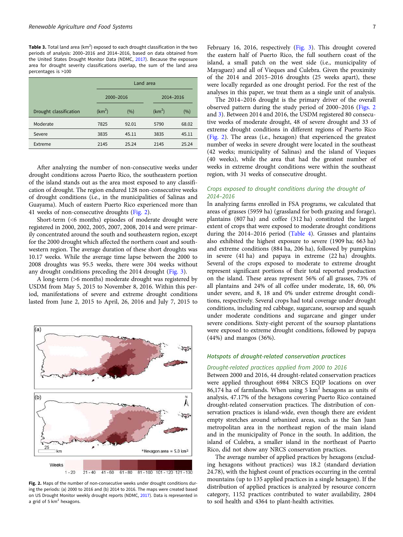<span id="page-6-0"></span>Table 3. Total land area  $(km^2)$  exposed to each drought classification in the two periods of analysis: 2000–2016 and 2014–2016, based on data obtained from the United States Drought Monitor Data (NDMC, [2017\)](#page-12-0). Because the exposure area for drought severity classifications overlap, the sum of the land area percentages is >100

|                        |                    | Land area |                    |           |  |  |  |
|------------------------|--------------------|-----------|--------------------|-----------|--|--|--|
|                        |                    | 2000-2016 |                    | 2014-2016 |  |  |  |
| Drought classification | (km <sup>2</sup> ) | (9/6)     | (km <sup>2</sup> ) | (9/6)     |  |  |  |
| Moderate               | 7825               | 92.01     | 5790               | 68.02     |  |  |  |
| Severe                 | 3835               | 45.11     | 3835               | 45.11     |  |  |  |
| Extreme                | 2145               | 25.24     | 2145               | 25.24     |  |  |  |

After analyzing the number of non-consecutive weeks under drought conditions across Puerto Rico, the southeastern portion of the island stands out as the area most exposed to any classification of drought. The region endured 128 non-consecutive weeks of drought conditions (i.e., in the municipalities of Salinas and Guayama). Much of eastern Puerto Rico experienced more than 41 weeks of non-consecutive droughts (Fig. 2).

Short-term (<6 months) episodes of moderate drought were registered in 2000, 2002, 2005, 2007, 2008, 2014 and were primarily concentrated around the south and southeastern region, except for the 2000 drought which affected the northern coast and southwestern region. The average duration of these short droughts was 10.17 weeks. While the average time lapse between the 2000 to 2008 droughts was 95.5 weeks, there were 304 weeks without any drought conditions preceding the 2014 drought ([Fig.](#page-7-0) 3).

A long-term (>6 months) moderate drought was registered by USDM from May 5, 2015 to November 8, 2016. Within this period, manifestations of severe and extreme drought conditions lasted from June 2, 2015 to April, 26, 2016 and July 7, 2015 to



Fig. 2. Maps of the number of non-consecutive weeks under drought conditions during the periods: (a) 2000 to 2016 and (b) 2014 to 2016. The maps were created based on US Drought Monitor weekly drought reports (NDMC, [2017](#page-12-0)). Data is represented in a grid of 5 km<sup>2</sup> hexagons.

February 16, 2016, respectively [\(Fig.](#page-7-0) 3). This drought covered the eastern half of Puerto Rico, the full southern coast of the island, a small patch on the west side (i.e., municipality of Mayaguez) and all of Vieques and Culebra. Given the proximity of the 2014 and 2015–2016 droughts (25 weeks apart), these were locally regarded as one drought period. For the rest of the analyses in this paper, we treat them as a single unit of analysis.

The 2014–2016 drought is the primary driver of the overall observed pattern during the study period of 2000–2016 (Figs. 2 and [3](#page-7-0)). Between 2014 and 2016, the USDM registered 80 consecutive weeks of moderate drought, 48 of severe drought and 33 of extreme drought conditions in different regions of Puerto Rico (Fig. 2). The areas (i.e., hexagon) that experienced the greatest number of weeks in severe drought were located in the southeast (42 weeks; municipality of Salinas) and the island of Vieques (40 weeks), while the area that had the greatest number of weeks in extreme drought conditions were within the southeast region, with 31 weeks of consecutive drought.

#### *Crops exposed to drought conditions during the drought of 2014*–*2016*

In analyzing farms enrolled in FSA programs, we calculated that areas of grasses (5959 ha) (grassland for both grazing and forage), plantains (807 ha) and coffee (312 ha) constituted the largest extent of crops that were exposed to moderate drought conditions during the 2014–2016 period ([Table](#page-8-0) 4). Grasses and plantains also exhibited the highest exposure to severe (1909 ha; 663 ha) and extreme conditions (884 ha, 206 ha), followed by pumpkins in severe (41 ha) and papaya in extreme (22 ha) droughts. Several of the crops exposed to moderate to extreme drought represent significant portions of their total reported production on the island. These areas represent 56% of all grasses, 73% of all plantains and 24% of all coffee under moderate, 18, 60, 0% under severe, and 8, 18 and 0% under extreme drought conditions, respectively. Several crops had total coverage under drought conditions, including red cabbage, sugarcane, soursop and squash under moderate conditions and sugarcane and ginger under severe conditions. Sixty-eight percent of the soursop plantations were exposed to extreme drought conditions, followed by papaya (44%) and mangos (36%).

### Hotspots of drought-related conservation practices

## *Drought-related practices applied from 2000 to 2016*

Between 2000 and 2016, 44 drought-related conservation practices were applied throughout 6984 NRCS EQIP locations on over 86,174 ha of farmlands. When using 5 km<sup>2</sup> hexagons as units of analysis, 47.17% of the hexagons covering Puerto Rico contained drought-related conservation practices. The distribution of conservation practices is island-wide, even though there are evident empty stretches around urbanized areas, such as the San Juan metropolitan area in the northeast region of the main island and in the municipality of Ponce in the south. In addition, the island of Culebra, a smaller island in the northeast of Puerto Rico, did not show any NRCS conservation practices.

The average number of applied practices by hexagons (excluding hexagons without practices) was 18.2 (standard deviation 24.78), with the highest count of practices occurring in the central mountains (up to 135 applied practices in a single hexagon). If the distribution of applied practices is analyzed by resource concern category, 1152 practices contributed to water availability, 2804 to soil health and 4364 to plant-health activities.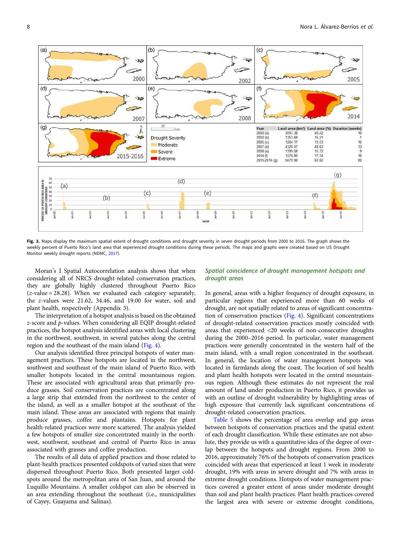<span id="page-7-0"></span>

Fig. 3. Maps display the maximum spatial extent of drought conditions and drought severity in seven drought periods from 2000 to 2016. The graph shows the weekly percent of Puerto Rico's land area that experienced drought conditions during these periods. The maps and graphs were created based on US Drought Monitor weekly drought reports (NDMC, [2017](#page-12-0)).

Moran's I Spatial Autocorrelation analysis shows that when considering all of NRCS drought-related conservation practices, they are globally highly clustered throughout Puerto Rico  $(z$ -value = 28.28). When we evaluated each category separately, the z-values were 21.62, 34.46, and 19.00 for water, soil and plant health, respectively (Appendix 3).

The interpretation of a hotspot analysis is based on the obtained z-score and p-values. When considering all EQIP drought-related practices, the hotspot analysis identified areas with local clustering in the northwest, southwest, in several patches along the central region and the southeast of the main island [\(Fig.](#page-9-0) 4).

Our analysis identified three principal hotspots of water management practices. These hotspots are located in the northwest, southwest and southeast of the main island of Puerto Rico, with smaller hotspots located in the central mountainous region. These are associated with agricultural areas that primarily produce grasses. Soil conservation practices are concentrated along a large strip that extended from the northwest to the center of the island, as well as a smaller hotspot at the southeast of the main island. These areas are associated with regions that mainly produce grasses, coffee and plantains. Hotspots for plant health-related practices were more scattered. The analysis yielded a few hotspots of smaller size concentrated mainly in the northwest, southwest, southeast and central of Puerto Rico in areas associated with grasses and coffee production.

The results of all data of applied practices and those related to plant-health practices presented coldspots of varied sizes that were dispersed throughout Puerto Rico. Both presented larger coldspots around the metropolitan area of San Juan, and around the Luquillo Mountains. A smaller coldspot can also be observed in an area extending throughout the southeast (i.e., municipalities of Cayey, Guayama and Salinas).

## Spatial coincidence of drought management hotspots and drought areas

In general, areas with a higher frequency of drought exposure, in particular regions that experienced more than 60 weeks of drought, are not spatially related to areas of significant concentration of conservation practices [\(Fig.](#page-9-0) 4). Significant concentrations of drought-related conservation practices mostly coincided with areas that experienced <20 weeks of non-consecutive droughts during the 2000–2016 period. In particular, water management practices were generally concentrated in the western half of the main island, with a small region concentrated in the southeast. In general, the location of water management hotspots was located in farmlands along the coast. The location of soil health and plant health hotspots were located in the central mountainous region. Although these estimates do not represent the real amount of land under production in Puerto Rico, it provides us with an outline of drought vulnerability by highlighting areas of high exposure that currently lack significant concentrations of drought-related conservation practices.

[Table](#page-9-0) 5 shows the percentage of area overlap and gap areas between hotspots of conservation practices and the spatial extent of each drought classification. While these estimates are not absolute, they provide us with a quantitative idea of the degree of overlap between the hotspots and drought regions. From 2000 to 2016, approximately 76% of the hotspots of conservation practices coincided with areas that experienced at least 1 week in moderate drought, 19% with areas in severe drought and 7% with areas in extreme drought conditions. Hotspots of water management practices covered a greater extent of areas under moderate drought than soil and plant health practices. Plant health practices covered the largest area with severe or extreme drought conditions,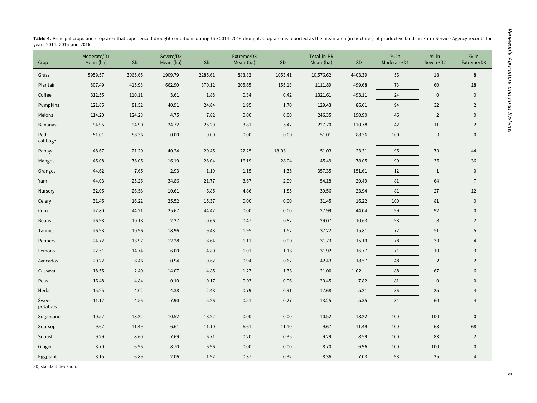| Crop              | Moderate/D1<br>Mean (ha) | SD      | Severe/D2<br>Mean (ha) | $\sf SD$ | Extreme/D3<br>Mean (ha) | SD         | Total in PR<br>Mean (ha) | SD      | $%$ in<br>Moderate/D1 | $%$ in<br>Severe/D2 | $%$ in<br>Extreme/D3 |
|-------------------|--------------------------|---------|------------------------|----------|-------------------------|------------|--------------------------|---------|-----------------------|---------------------|----------------------|
| Grass             | 5959.57                  | 3065.65 | 1909.79                | 2285.61  | 883.82                  | 1053.41    | 10,576.62                | 4403.39 | 56                    | 18                  | 8                    |
| Plantain          | 807.49                   | 415.98  | 662.90                 | 370.12   | 205.65                  | 155.13     | 1111.89                  | 499.68  | 73                    | 60                  | 18                   |
| Coffee            | 312.55                   | 110.11  | $3.61$                 | 1.88     | 0.34                    | 0.42       | 1321.61                  | 493.11  | 24                    | $\pmb{0}$           | $\mathsf{O}\xspace$  |
| Pumpkins          | 121.85                   | 81.52   | 40.91                  | 24.84    | 1.95                    | 1.70       | 129.43                   | 86.61   | 94                    | $32\,$              | $\overline{2}$       |
| Melons            | 114.20                   | 124.28  | 4.75                   | 7.82     | 0.00                    | 0.00       | 246.35                   | 190.90  | 46                    | $\overline{2}$      | $\mathbf 0$          |
| Bananas           | 94.95                    | 94.90   | 24.72                  | 25.29    | 3.81                    | 5.42       | 227.70                   | 110.78  | 42                    | 11                  | $\overline{2}$       |
| Red<br>cabbage    | 51.01                    | 88.36   | 0.00                   | 0.00     | 0.00                    | 0.00       | 51.01                    | 88.36   | 100                   | $\mathbf 0$         | $\mathsf{O}\xspace$  |
| Papaya            | 48.67                    | 21.29   | 40.24                  | 20.45    | 22.25                   | 18 93      | 51.03                    | 23.31   | 95                    | 79                  | 44                   |
| Mangos            | 45.08                    | 78.05   | 16.19                  | 28.04    | 16.19                   | 28.04      | 45.49                    | 78.05   | 99                    | 36                  | 36                   |
| Oranges           | 44.62                    | 7.65    | 2.93                   | 1.19     | 1.15                    | 1.35       | 357.35                   | 151.61  | 12                    | $\mathbf{1}$        | $\mathbf 0$          |
| Yam               | 44.03                    | 25.26   | 34.86                  | 21.77    | 3.67                    | 2.99       | 54.18                    | 29.49   | 81                    | 64                  | $\overline{7}$       |
| Nursery           | 32.05                    | 26.58   | 10.61                  | 6.85     | 4.86                    | 1.85       | 39.56                    | 23.94   | 81                    | 27                  | 12                   |
| Celery            | 31.45                    | 16.22   | 25.52                  | 15.37    | 0.00                    | 0.00       | 31.45                    | 16.22   | 100                   | 81                  | $\mathsf{O}\xspace$  |
| Com               | 27.80                    | 44.21   | 25.67                  | 44.47    | 0.00                    | 0.00       | 27.99                    | 44.04   | 99                    | 92                  | $\mathsf{O}\xspace$  |
| Beans             | 26.98                    | 10.18   | 2.27                   | 0.66     | 0.47                    | 0.82       | 29.07                    | 10.63   | 93                    | $\,$ 8 $\,$         | $\overline{2}$       |
| Tannier           | 26.93                    | 10.96   | 18.96                  | 9.43     | 1.95                    | 1.52       | 37.22                    | 15.81   | 72                    | 51                  | 5                    |
| Peppers           | 24.72                    | 13.97   | 12.28                  | 8.64     | 1.11                    | 0.90       | 31.73                    | 15.19   | 78                    | 39                  | $\overline{4}$       |
| Lemons            | 22.51                    | 14.74   | 6.00                   | 4.80     | 1.01                    | 1.13       | 31.92                    | 16.77   | 71                    | 19                  | 3                    |
| Avocados          | 20.22                    | 8.46    | 0.94                   | 0.62     | 0.94                    | 0.62       | 42.43                    | 18.57   | 48                    | $\overline{2}$      | $\overline{2}$       |
| Cassava           | 18.55                    | 2.49    | 14.07                  | 4.85     | 1.27                    | 1.33       | 21.00                    | 1 0 2   | 88                    | 67                  | 6                    |
| Peas              | 16.48                    | 4.84    | 0.10                   | 0.17     | 0.03                    | 0.06       | 20.45                    | 7.82    | 81                    | $\mathsf 0$         | $\pmb{0}$            |
| Herbs             | 15.25                    | 4.02    | 4.38                   | 2.48     | 0.79                    | $\rm 0.91$ | 17.68                    | 5.21    | 86                    | $25\,$              | $\overline{4}$       |
| Sweet<br>potatoes | 11.12                    | 4.56    | 7.90                   | 5.26     | $0.51\,$                | 0.27       | 13.25                    | 5.35    | 84                    | 60                  | $\overline{4}$       |
| Sugarcane         | 10.52                    | 18.22   | 10.52                  | 18.22    | 0.00                    | 0.00       | 10.52                    | 18.22   | 100                   | 100                 | $\pmb{0}$            |
| Soursop           | 9.67                     | 11.49   | 6.61                   | 11.10    | 6.61                    | 11.10      | 9.67                     | 11.49   | 100                   | 68                  | 68                   |
| Squash            | 9.29                     | 8.60    | 7.69                   | 6.71     | 0.20                    | 0.35       | 9.29                     | 8.59    | 100                   | 83                  | $\overline{2}$       |
| Ginger            | 8.70                     | 6.96    | 8.70                   | 6.96     | 0.00                    | 0.00       | 8.70                     | 6.96    | 100                   | $100\,$             | $\pmb{0}$            |
| Eggplant          | 8.15                     | 6.89    | 2.06                   | 1.97     | 0.37                    | 0.32       | 8.36                     | 7.03    | 98                    | 25                  | $\overline{4}$       |

<span id="page-8-0"></span>Table 4. Principal crops and crop area that experienced drought conditions during the 2014-2016 drought. Crop area is reported as the mean area (in hectares) of productive lands in Farm Service Agency records for years 2014, 2015 and 2016

SD, standard deviation.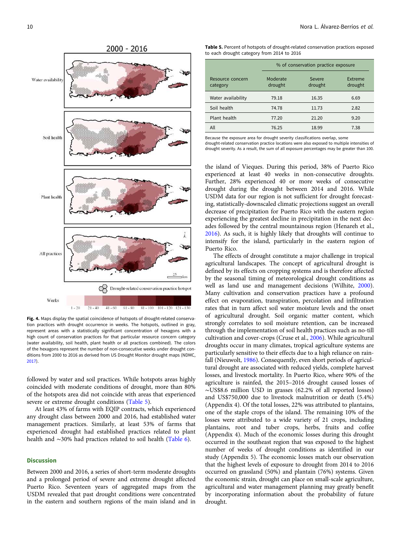<span id="page-9-0"></span>

Fig. 4. Maps display the spatial coincidence of hotspots of drought-related conservation practices with drought occurrence in weeks. The hotspots, outlined in gray, represent areas with a statistically significant concentration of hexagons with a high count of conservation practices for that particular resource concern category (water availability, soil health, plant health or all practices combined). The colors of the hexagons represent the number of non-consecutive weeks under drought conditions from 2000 to 2016 as derived from US Drought Monitor drought maps (NDMC, [2017](#page-12-0)).

followed by water and soil practices. While hotspots areas highly coincided with moderate conditions of drought, more than 80% of the hotspots area did not coincide with areas that experienced severe or extreme drought conditions (Table 5).

At least 43% of farms with EQIP contracts, which experienced any drought class between 2000 and 2016, had established water management practices. Similarly, at least 53% of farms that experienced drought had established practices related to plant health and ∼30% had practices related to soil health ([Table](#page-10-0) 6).

## **Discussion**

Between 2000 and 2016, a series of short-term moderate droughts and a prolonged period of severe and extreme drought affected Puerto Rico. Seventeen years of aggregated maps from the USDM revealed that past drought conditions were concentrated in the eastern and southern regions of the main island and in Table 5. Percent of hotspots of drought-related conservation practices exposed to each drought category from 2014 to 2016

|                              | % of conservation practice exposure |                   |                    |  |  |  |
|------------------------------|-------------------------------------|-------------------|--------------------|--|--|--|
| Resource concern<br>category | Moderate<br>drought                 | Severe<br>drought | Extreme<br>drought |  |  |  |
| Water availability           | 79.18                               | 16.35             | 6.69               |  |  |  |
| Soil health                  | 74.78                               | 11.73             | 2.82               |  |  |  |
| Plant health                 | 77.20                               | 21.20             | 9.20               |  |  |  |
| All                          | 76.25                               | 18.99             | 7.38               |  |  |  |

Because the exposure area for drought severity classifications overlap, some

drought-related conservation practice locations were also exposed to multiple intensities of drought severity. As a result, the sum of all exposure percentages may be greater than 100.

the island of Vieques. During this period, 38% of Puerto Rico experienced at least 40 weeks in non-consecutive droughts. Further, 28% experienced 40 or more weeks of consecutive drought during the drought between 2014 and 2016. While USDM data for our region is not sufficient for drought forecasting, statistically-downscaled climatic projections suggest an overall decrease of precipitation for Puerto Rico with the eastern region experiencing the greatest decline in precipitation in the next decades followed by the central mountainous region (Henareh et al., [2016\)](#page-11-0). As such, it is highly likely that droughts will continue to intensify for the island, particularly in the eastern region of Puerto Rico.

The effects of drought constitute a major challenge in tropical agricultural landscapes. The concept of agricultural drought is defined by its effects on cropping systems and is therefore affected by the seasonal timing of meteorological drought conditions as well as land use and management decisions (Wilhite, [2000](#page-12-0)). Many cultivation and conservation practices have a profound effect on evaporation, transpiration, percolation and infiltration rates that in turn affect soil water moisture levels and the onset of agricultural drought. Soil organic matter content, which strongly correlates to soil moisture retention, can be increased through the implementation of soil health practices such as no-till cultivation and cover-crops (Cruse et al., [2006](#page-11-0)). While agricultural droughts occur in many climates, tropical agriculture systems are particularly sensitive to their effects due to a high reliance on rain-fall (Nieuwolt, [1986](#page-12-0)). Consequently, even short periods of agricultural drought are associated with reduced yields, complete harvest losses, and livestock mortality. In Puerto Rico, where 90% of the agriculture is rainfed, the 2015–2016 drought caused losses of ∼US\$8.6 million USD in grasses (62.2% of all reported losses) and US\$750,000 due to livestock malnutrition or death (5.4%) (Appendix 4). Of the total losses, 22% was attributed to plantains, one of the staple crops of the island. The remaining 10% of the losses were attributed to a wide variety of 21 crops, including plantains, root and tuber crops, herbs, fruits and coffee (Appendix 4). Much of the economic losses during this drought occurred in the southeast region that was exposed to the highest number of weeks of drought conditions as identified in our study (Appendix 5). The economic losses match our observation that the highest levels of exposure to drought from 2014 to 2016 occurred on grassland (50%) and plantain (76%) systems. Given the economic strain, drought can place on small-scale agriculture, agricultural and water management planning may greatly benefit by incorporating information about the probability of future drought.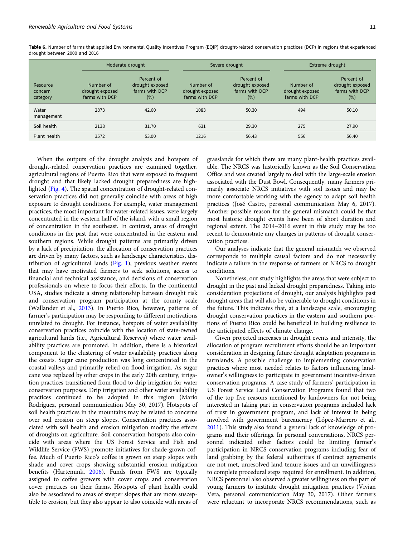Moderate drought November 2012 Severe drought Severe drought Extreme drought Percent of Percent of Percent of Percent of Percent of Percent of Resource Number of drought exposed Number of drought exposed Number of drought exposed concern drought exposed farms with DCP drought exposed farms with DCP drought exposed farms with DCP category farms with DCP category farms with DCP (%) category farms with DCP (%) farms with DCP (%) farms with DCP (%) Water 2873 42.60 1083 50.30 494 50.10 management Soil health 2138 21.70 631 29.30 275 27.90 Plant health 3572 53.00 1216 56.43 556 56.40

<span id="page-10-0"></span>Table 6. Number of farms that applied Environmental Quality Incentives Program (EQIP) drought-related conservation practices (DCP) in regions that experienced drought between 2000 and 2016

When the outputs of the drought analysis and hotspots of drought-related conservation practices are examined together, agricultural regions of Puerto Rico that were exposed to frequent drought and that likely lacked drought preparedness are highlighted [\(Fig.](#page-9-0) 4). The spatial concentration of drought-related conservation practices did not generally coincide with areas of high exposure to drought conditions. For example, water management practices, the most important for water-related issues, were largely concentrated in the western half of the island, with a small region of concentration in the southeast. In contrast, areas of drought conditions in the past that were concentrated in the eastern and southern regions. While drought patterns are primarily driven by a lack of precipitation, the allocation of conservation practices are driven by many factors, such as landscape characteristics, distribution of agricultural lands ([Fig.](#page-2-0) 1), previous weather events that may have motivated farmers to seek solutions, access to financial and technical assistance, and decisions of conservation professionals on where to focus their efforts. In the continental USA, studies indicate a strong relationship between drought risk and conservation program participation at the county scale (Wallander et al., [2013\)](#page-12-0). In Puerto Rico, however, patterns of farmer's participation may be responding to different motivations unrelated to drought. For instance, hotspots of water availability conservation practices coincide with the location of state-owned agricultural lands (i.e., Agricultural Reserves) where water availability practices are promoted. In addition, there is a historical component to the clustering of water availability practices along the coasts. Sugar cane production was long concentrated in the coastal valleys and primarily relied on flood irrigation. As sugar cane was replaced by other crops in the early 20th century, irrigation practices transitioned from flood to drip irrigation for water conservation purposes. Drip irrigation and other water availability practices continued to be adopted in this region (Mario Rodríguez, personal communication May 30, 2017). Hotspots of soil health practices in the mountains may be related to concerns over soil erosion on steep slopes. Conservation practices associated with soil health and erosion mitigation modify the effects of droughts on agriculture. Soil conservation hotspots also coincide with areas where the US Forest Service and Fish and Wildlife Service (FWS) promote initiatives for shade-grown coffee. Much of Puerto Rico's coffee is grown on steep slopes with shade and cover crops showing substantial erosion mitigation benefits (Hartemink, [2006](#page-11-0)). Funds from FWS are typically assigned to coffee growers with cover crops and conservation cover practices on their farms. Hotspots of plant health could also be associated to areas of steeper slopes that are more susceptible to erosion, but they also appear to also coincide with areas of grasslands for which there are many plant-health practices available. The NRCS was historically known as the Soil Conservation Office and was created largely to deal with the large-scale erosion associated with the Dust Bowl. Consequently, many farmers primarily associate NRCS initiatives with soil issues and may be more comfortable working with the agency to adapt soil health practices (José Castro, personal communication May 6, 2017). Another possible reason for the general mismatch could be that most historic drought events have been of short duration and regional extent. The 2014–2016 event in this study may be too recent to demonstrate any changes in patterns of drought conservation practices.

Our analyses indicate that the general mismatch we observed corresponds to multiple causal factors and do not necessarily indicate a failure in the response of farmers or NRCS to drought conditions.

Nonetheless, our study highlights the areas that were subject to drought in the past and lacked drought preparedness. Taking into consideration projections of drought, our analysis highlights past drought areas that will also be vulnerable to drought conditions in the future. This indicates that, at a landscape scale, encouraging drought conservation practices in the eastern and southern portions of Puerto Rico could be beneficial in building resilience to the anticipated effects of climate change.

Given projected increases in drought events and intensity, the allocation of program recruitment efforts should be an important consideration in designing future drought adaptation programs in farmlands. A possible challenge to implementing conservation practices where most needed relates to factors influencing landowner's willingness to participate in government incentive-driven conservation programs. A case study of farmers' participation in US Forest Service Land Conservation Programs found that two of the top five reasons mentioned by landowners for not being interested in taking part in conservation programs included lack of trust in government program, and lack of interest in being involved with government bureaucracy (López-Marrero et al., [2011](#page-11-0)). This study also found a general lack of knowledge of programs and their offerings. In personal conversations, NRCS personnel indicated other factors could be limiting farmer's participation in NRCS conservation programs including fear of land grabbing by the federal authorities if contract agreements are not met, unresolved land tenure issues and an unwillingness to complete procedural steps required for enrollment. In addition, NRCS personnel also observed a greater willingness on the part of young farmers to institute drought mitigation practices (Vivian Vera, personal communication May 30, 2017). Other farmers were reluctant to incorporate NRCS recommendations, such as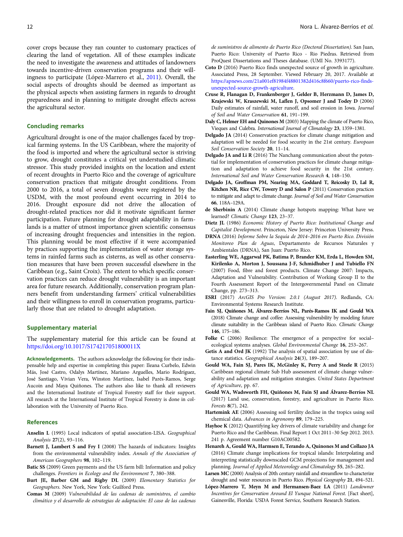<span id="page-11-0"></span>cover crops because they ran counter to customary practices of clearing the land of vegetation. All of these examples indicate the need to investigate the awareness and attitudes of landowners towards incentive-driven conservation programs and their willingness to participate (López-Marrero et al., 2011). Overall, the social aspects of droughts should be deemed as important as the physical aspects when assisting farmers in regards to drought preparedness and in planning to mitigate drought effects across the agricultural sector.

## Concluding remarks

Agricultural drought is one of the major challenges faced by tropical farming systems. In the US Caribbean, where the majority of the food is imported and where the agricultural sector is striving to grow, drought constitutes a critical yet understudied climatic stressor. This study provided insights on the location and extent of recent droughts in Puerto Rico and the coverage of agriculture conservation practices that mitigate drought conditions. From 2000 to 2016, a total of seven droughts were registered by the USDM, with the most profound event occurring in 2014 to 2016. Drought exposure did not drive the allocation of drought-related practices nor did it motivate significant farmer participation. Future planning for drought adaptability in farmlands is a matter of utmost importance given scientific consensus of increasing drought frequencies and intensities in the region. This planning would be most effective if it were accompanied by practices supporting the implementation of water storage systems in rainfed farms such as cisterns, as well as other conservation measures that have been proven successful elsewhere in the Caribbean (e.g., Saint Croix). The extent to which specific conservation practices can reduce drought vulnerability is an important area for future research. Additionally, conservation program planners benefit from understanding farmers' critical vulnerabilities and their willingness to enroll in conservation programs, particularly those that are related to drought adaptation.

#### Supplementary material

The supplementary material for this article can be found at https://doi.org/10.1017/S174217051800011X

Acknowledgements. The authors acknowledge the following for their indispensable help and expertise in completing this paper: Ileana Curbelo, Edwin Más, José Castro, Odalys Martínez, Mariano Arguelles, Mario Rodríguez, José Santiago, Vivian Vera, Winston Martínez, Isabel Parés-Ramos, Serge Aucoin and Maya Quiñones. The authors also like to thank all reviewers and the International Institute of Tropical Forestry staff for their support. All research at the International Institute of Tropical Forestry is done in collaboration with the University of Puerto Rico.

#### References

- Anselin L (1995) Local indicators of spatial association-LISA. Geographical Analysis 27(2), 93–116.
- Barnett J, Lambert S and Fry I (2008) The hazards of indicators: Insights from the environmental vulnerability index. Annals of the Association of American Geographers 98, 102–119.
- Batic SS (2009) Green payments and the US farm bill: Information and policy challenges. Frontiers in Ecology and the Environment 7, 380–388.
- Burt JE, Barber GM and Rigby DL (2009) Elementary Statistics for Geographers. New York, New York: Guilford Press.
- Comas M (2009) Vulnerabilidad de las cadenas de suministros, el cambio climático y el desarrollo de estrategias de adaptación: El caso de las cadenas

de suministros de alimento de Puerto Rico (Doctoral Dissertation). San Juan, Puerto Rico: University of Puerto Rico - Rio Piedras. Retrieved from ProQuest Dissertations and Theses database. (UMI No. 3393177).

- Coto D (2016) Puerto Rico finds unexpected source of growth in agriculture. Associated Press, 28 September. Viewed February 20, 2017. Available at https://apnews.com/21a001ef81984f48801382d416c8f660/puerto-rico-findsunexpected-source-growth-agriculture.
- Cruse R, Flanagan D, Frankenberger J, Gelder B, Herzmann D, James D, Krajewski W, Kraszewski M, Laflen J, Opsomer J and Todey D (2006) Daily estimates of rainfall, water runoff, and soil erosion in Iowa. Journal of Soil and Water Conservation 61, 191–199.
- Daly C, Helmer EH and Quinones M (2003) Mapping the climate of Puerto Rico, Vieques and Culebra. International Journal of Climatology 23, 1359–1381.
- Delgado JA (2014) Conservation practices for climate change mitigation and adaptation will be needed for food security in the 21st century. European Soil Conservation Society 20, 11–14.
- Delgado JA and Li R (2016) The Nanchang communication about the potential for implementation of conservation practices for climate change mitigation and adaptation to achieve food security in the 21st century. International Soil and Water Conservation Research 4, 148–150.
- Delgado JA, Groffman PM, Nearing MA, Goddard T, Reicosky D, Lal R, Kitchen NR, Rice CW, Towery D and Salon P (2011) Conservation practices to mitigate and adapt to climate change. Journal of Soil and Water Conservation 66, 118A–129A.
- de Sherbinin A (2014) Climate change hotspots mapping: What have we learned? Climatic Change 123, 23–37.
- Dietz JL (1986) Economic History of Puerto Rico: Institutional Change and Capitalist Development. Princeton, New Jersey: Princeton University Press.
- DRNA (2016) Informe Sobre la Sequía de 2014–2016 en Puerto Rico. División Monitoreo Plan de Aguas, Departamento de Recursos Naturales y Ambientales (DRNA), San Juan: Puerto Rico.
- Easterling WE, Aggarwal PK, Batima P, Brander KM, Erda L, Howden SM, Kirilenko A, Morton J, Soussana J-F, Schmidhuber J and Tubiello FN (2007) Food, fibre and forest products. Climate Change 2007: Impacts, Adaptation and Vulnerability. Contribution of Working Group II to the Fourth Assessment Report of the Intergovernmental Panel on Climate Change, pp. 273–313.
- ESRI (2017) ArcGIS Pro Version: 2.0.1 (August 2017). Redlands, CA: Environmental Systems Research Institute.
- Fain SJ, Quiñones M, Álvarez-Berríos NL, Parés-Ramos IK and Gould WA (2018) Climate change and coffee: Assessing vulnerability by modeling future climate suitability in the Caribbean island of Puerto Rico. Climatic Change 146, 175–186.
- Folke C (2006) Resilience: The emergence of a perspective for socialecological systems analyses. Global Environmental Change 16, 253–267.
- Getis A and Ord JK (1992) The analysis of spatial association by use of distance statistics. Geographical Analysis 24(3), 189–207.
- Gould WA, Fain SJ, Pares IK, McGinley K, Perry A and Steele R (2015) Caribbean regional climate Sub Hub assessment of climate change vulnerability and adaptation and mitigation strategies. United States Department of Agriculture, pp. 67.
- Gould WA, Wadsworth FH, Quiñones M, Fain SJ and Álvarez-Berríos NL (2017) Land use, conservation, forestry, and agriculture in Puerto Rico. Forests 8(7), 242.
- Hartemink AE (2006) Assessing soil fertility decline in the tropics using soil chemical data. Advances in Agronomy 89, 179–225.
- Hayhoe K (2012) Quantifying key drivers of climate variability and change for Puerto Rico and the Caribbean. Final Report 1 Oct 2011–30 Sep 2012. 2013. 241 p. Agreement number G10AC00582.
- Henareh A, Gould WA, Harmsen E, Terando A, Quinones M and Collazo JA (2016) Climate change implications for tropical islands: Interpolating and interpreting statistically downscaled GCM projections for management and planning. Journal of Applied Meteorology and Climatology 55, 265–282.
- Larsen MC (2000) Analysis of 20th century rainfall and streamflow to characterize drought and water resources in Puerto Rico. Physical Geography 21, 494–521.
- López-Marrero T, Meyn M and Hermansen-Baez LA (2011) Landowner Incentives for Conservation Around El Yunque National Forest. [Fact sheet], Gainesville, Florida: USDA Forest Service, Southern Research Station.